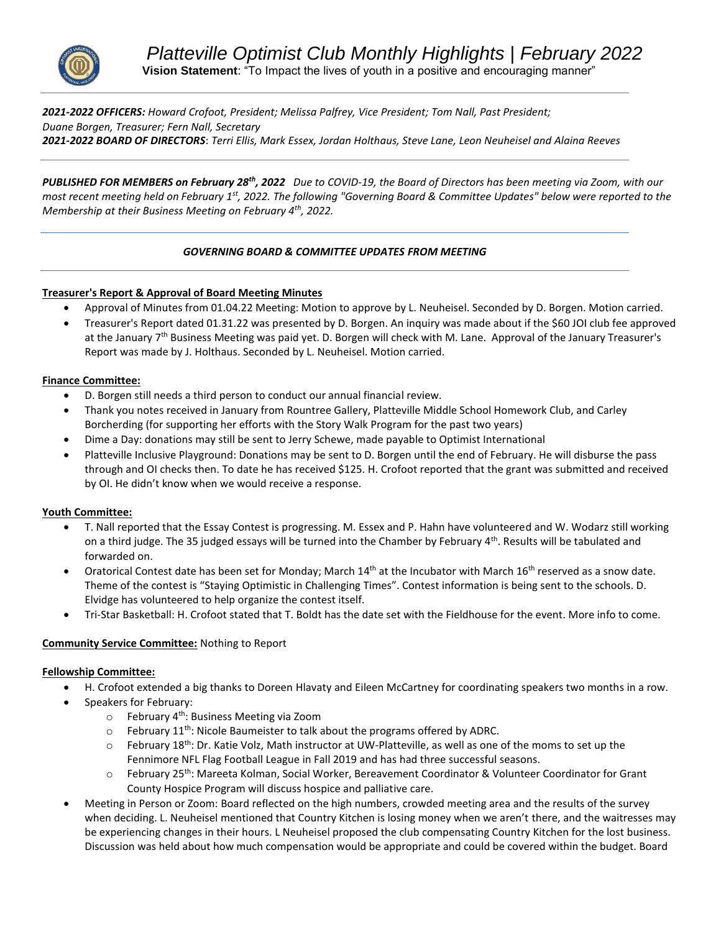

*2021-2022 OFFICERS: Howard Crofoot, President; Melissa Palfrey, Vice President; Tom Nall, Past President; Duane Borgen, Treasurer; Fern Nall, Secretary 2021-2022 BOARD OF DIRECTORS*: *Terri Ellis, Mark Essex, Jordan Holthaus, Steve Lane, Leon Neuheisel and Alaina Reeves* 

*PUBLISHED FOR MEMBERS on February 28th, 2022 Due to COVID-19, the Board of Directors has been meeting via Zoom, with our most recent meeting held on February 1st, 2022. The following "Governing Board & Committee Updates" below were reported to the Membership at their Business Meeting on February 4th, 2022.* 

# *GOVERNING BOARD & COMMITTEE UPDATES FROM MEETING*

## **Treasurer's Report & Approval of Board Meeting Minutes**

- Approval of Minutes from 01.04.22 Meeting: Motion to approve by L. Neuheisel. Seconded by D. Borgen. Motion carried.
- Treasurer's Report dated 01.31.22 was presented by D. Borgen. An inquiry was made about if the \$60 JOI club fee approved at the January 7<sup>th</sup> Business Meeting was paid yet. D. Borgen will check with M. Lane. Approval of the January Treasurer's Report was made by J. Holthaus. Seconded by L. Neuheisel. Motion carried.

## **Finance Committee:**

- D. Borgen still needs a third person to conduct our annual financial review.
- Thank you notes received in January from Rountree Gallery, Platteville Middle School Homework Club, and Carley Borcherding (for supporting her efforts with the Story Walk Program for the past two years)
- Dime a Day: donations may still be sent to Jerry Schewe, made payable to Optimist International
- Platteville Inclusive Playground: Donations may be sent to D. Borgen until the end of February. He will disburse the pass through and OI checks then. To date he has received \$125. H. Crofoot reported that the grant was submitted and received by OI. He didn't know when we would receive a response.

## **Youth Committee:**

- T. Nall reported that the Essay Contest is progressing. M. Essex and P. Hahn have volunteered and W. Wodarz still working on a third judge. The 35 judged essays will be turned into the Chamber by February  $4^{th}$ . Results will be tabulated and forwarded on.
- Oratorical Contest date has been set for Monday; March  $14<sup>th</sup>$  at the Incubator with March  $16<sup>th</sup>$  reserved as a snow date. Theme of the contest is "Staying Optimistic in Challenging Times". Contest information is being sent to the schools. D. Elvidge has volunteered to help organize the contest itself.
- Tri-Star Basketball: H. Crofoot stated that T. Boldt has the date set with the Fieldhouse for the event. More info to come.

# **Community Service Committee:** Nothing to Report

## **Fellowship Committee:**

- H. Crofoot extended a big thanks to Doreen Hlavaty and Eileen McCartney for coordinating speakers two months in a row.
- Speakers for February:
	- $\circ$  February 4<sup>th</sup>: Business Meeting via Zoom
	- $\circ$  February 11<sup>th</sup>: Nicole Baumeister to talk about the programs offered by ADRC.
	- $\circ$  February 18<sup>th</sup>: Dr. Katie Volz, Math instructor at UW-Platteville, as well as one of the moms to set up the Fennimore NFL Flag Football League in Fall 2019 and has had three successful seasons.
	- o February 25<sup>th</sup>: Mareeta Kolman, Social Worker, Bereavement Coordinator & Volunteer Coordinator for Grant County Hospice Program will discuss hospice and palliative care.
- Meeting in Person or Zoom: Board reflected on the high numbers, crowded meeting area and the results of the survey when deciding. L. Neuheisel mentioned that Country Kitchen is losing money when we aren't there, and the waitresses may be experiencing changes in their hours. L Neuheisel proposed the club compensating Country Kitchen for the lost business. Discussion was held about how much compensation would be appropriate and could be covered within the budget. Board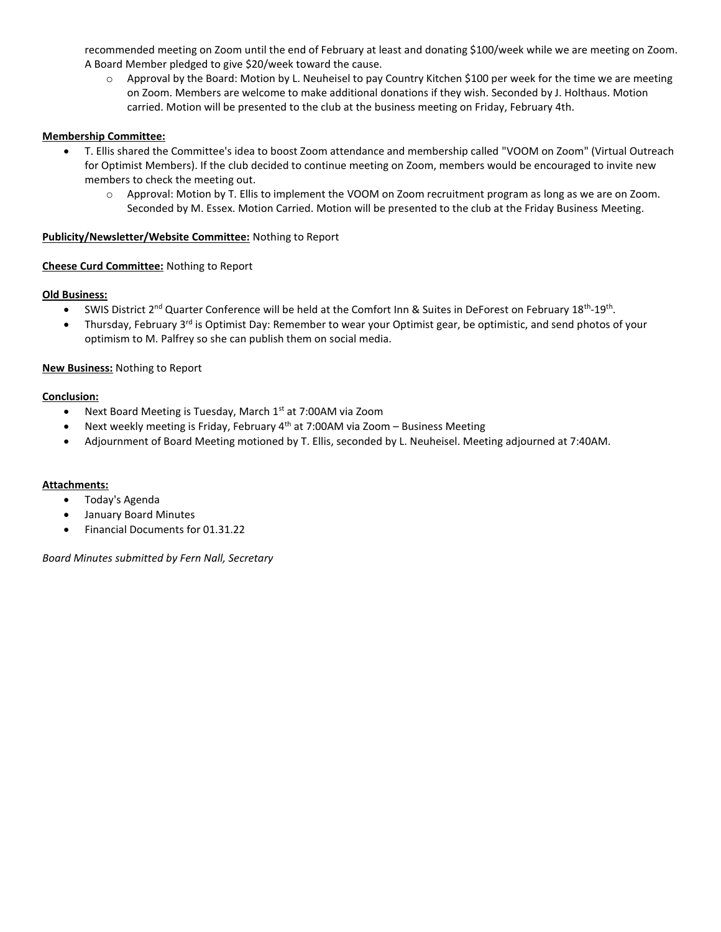recommended meeting on Zoom until the end of February at least and donating \$100/week while we are meeting on Zoom. A Board Member pledged to give \$20/week toward the cause.

o Approval by the Board: Motion by L. Neuheisel to pay Country Kitchen \$100 per week for the time we are meeting on Zoom. Members are welcome to make additional donations if they wish. Seconded by J. Holthaus. Motion carried. Motion will be presented to the club at the business meeting on Friday, February 4th.

## **Membership Committee:**

- T. Ellis shared the Committee's idea to boost Zoom attendance and membership called "VOOM on Zoom" (Virtual Outreach for Optimist Members). If the club decided to continue meeting on Zoom, members would be encouraged to invite new members to check the meeting out.
	- o Approval: Motion by T. Ellis to implement the VOOM on Zoom recruitment program as long as we are on Zoom. Seconded by M. Essex. Motion Carried. Motion will be presented to the club at the Friday Business Meeting.

## **Publicity/Newsletter/Website Committee:** Nothing to Report

# **Cheese Curd Committee:** Nothing to Report

## **Old Business:**

- SWIS District 2<sup>nd</sup> Quarter Conference will be held at the Comfort Inn & Suites in DeForest on February 18<sup>th</sup>-19<sup>th</sup>.
- Thursday, February 3<sup>rd</sup> is Optimist Day: Remember to wear your Optimist gear, be optimistic, and send photos of your optimism to M. Palfrey so she can publish them on social media.

# **New Business:** Nothing to Report

# **Conclusion:**

- Next Board Meeting is Tuesday, March 1<sup>st</sup> at 7:00AM via Zoom
- Next weekly meeting is Friday, February 4<sup>th</sup> at 7:00AM via Zoom Business Meeting
- Adjournment of Board Meeting motioned by T. Ellis, seconded by L. Neuheisel. Meeting adjourned at 7:40AM.

## **Attachments:**

- Today's Agenda
- January Board Minutes
- Financial Documents for 01.31.22

*Board Minutes submitted by Fern Nall, Secretary*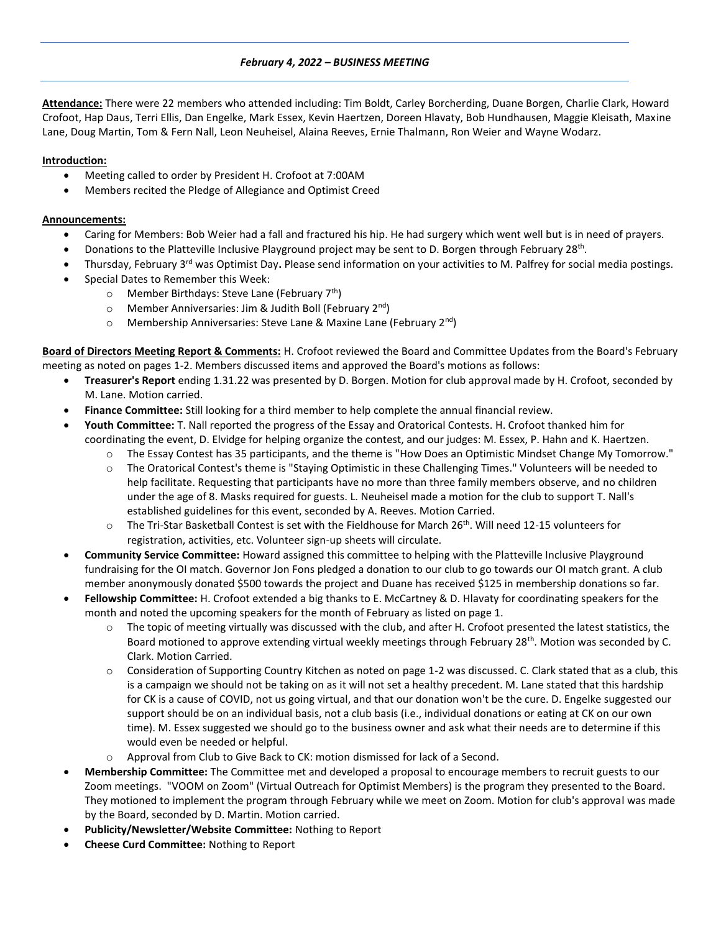### *February 4, 2022 – BUSINESS MEETING*

**Attendance:** There were 22 members who attended including: Tim Boldt, Carley Borcherding, Duane Borgen, Charlie Clark, Howard Crofoot, Hap Daus, Terri Ellis, Dan Engelke, Mark Essex, Kevin Haertzen, Doreen Hlavaty, Bob Hundhausen, Maggie Kleisath, Maxine Lane, Doug Martin, Tom & Fern Nall, Leon Neuheisel, Alaina Reeves, Ernie Thalmann, Ron Weier and Wayne Wodarz.

## **Introduction:**

- Meeting called to order by President H. Crofoot at 7:00AM
- Members recited the Pledge of Allegiance and Optimist Creed

### **Announcements:**

- Caring for Members: Bob Weier had a fall and fractured his hip. He had surgery which went well but is in need of prayers.
- Donations to the Platteville Inclusive Playground project may be sent to D. Borgen through February 28<sup>th</sup>.
- Thursday, February 3rd was Optimist Day**.** Please send information on your activities to M. Palfrey for social media postings.
- Special Dates to Remember this Week:
	- $\circ$  Member Birthdays: Steve Lane (February 7<sup>th</sup>)
	- $\circ$  Member Anniversaries: Jim & Judith Boll (February 2<sup>nd</sup>)
	- $\circ$  Membership Anniversaries: Steve Lane & Maxine Lane (February 2<sup>nd</sup>)

**Board of Directors Meeting Report & Comments:** H. Crofoot reviewed the Board and Committee Updates from the Board's February meeting as noted on pages 1-2. Members discussed items and approved the Board's motions as follows:

- **Treasurer's Report** ending 1.31.22 was presented by D. Borgen. Motion for club approval made by H. Crofoot, seconded by M. Lane. Motion carried.
- **Finance Committee:** Still looking for a third member to help complete the annual financial review.
- **Youth Committee:** T. Nall reported the progress of the Essay and Oratorical Contests. H. Crofoot thanked him for coordinating the event, D. Elvidge for helping organize the contest, and our judges: M. Essex, P. Hahn and K. Haertzen.
	- o The Essay Contest has 35 participants, and the theme is "How Does an Optimistic Mindset Change My Tomorrow."
		- The Oratorical Contest's theme is "Staying Optimistic in these Challenging Times." Volunteers will be needed to help facilitate. Requesting that participants have no more than three family members observe, and no children under the age of 8. Masks required for guests. L. Neuheisel made a motion for the club to support T. Nall's established guidelines for this event, seconded by A. Reeves. Motion Carried.
	- $\circ$  The Tri-Star Basketball Contest is set with the Fieldhouse for March 26<sup>th</sup>. Will need 12-15 volunteers for registration, activities, etc. Volunteer sign-up sheets will circulate.
- **Community Service Committee:** Howard assigned this committee to helping with the Platteville Inclusive Playground fundraising for the OI match. Governor Jon Fons pledged a donation to our club to go towards our OI match grant. A club member anonymously donated \$500 towards the project and Duane has received \$125 in membership donations so far.
- **Fellowship Committee:** H. Crofoot extended a big thanks to E. McCartney & D. Hlavaty for coordinating speakers for the month and noted the upcoming speakers for the month of February as listed on page 1.
	- $\circ$  The topic of meeting virtually was discussed with the club, and after H. Crofoot presented the latest statistics, the Board motioned to approve extending virtual weekly meetings through February 28<sup>th</sup>. Motion was seconded by C. Clark. Motion Carried.
	- $\circ$  Consideration of Supporting Country Kitchen as noted on page 1-2 was discussed. C. Clark stated that as a club, this is a campaign we should not be taking on as it will not set a healthy precedent. M. Lane stated that this hardship for CK is a cause of COVID, not us going virtual, and that our donation won't be the cure. D. Engelke suggested our support should be on an individual basis, not a club basis (i.e., individual donations or eating at CK on our own time). M. Essex suggested we should go to the business owner and ask what their needs are to determine if this would even be needed or helpful.
	- Approval from Club to Give Back to CK: motion dismissed for lack of a Second.
- **Membership Committee:** The Committee met and developed a proposal to encourage members to recruit guests to our Zoom meetings. "VOOM on Zoom" (Virtual Outreach for Optimist Members) is the program they presented to the Board. They motioned to implement the program through February while we meet on Zoom. Motion for club's approval was made by the Board, seconded by D. Martin. Motion carried.
- **Publicity/Newsletter/Website Committee:** Nothing to Report
- **Cheese Curd Committee:** Nothing to Report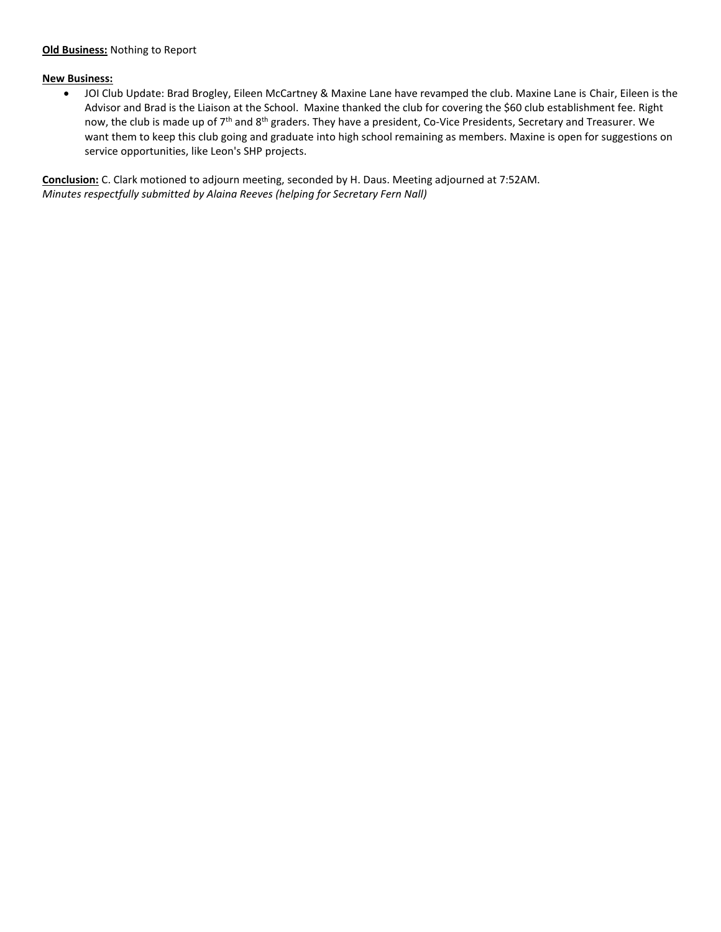#### **Old Business:** Nothing to Report

#### **New Business:**

• JOI Club Update: Brad Brogley, Eileen McCartney & Maxine Lane have revamped the club. Maxine Lane is Chair, Eileen is the Advisor and Brad is the Liaison at the School. Maxine thanked the club for covering the \$60 club establishment fee. Right now, the club is made up of 7<sup>th</sup> and 8<sup>th</sup> graders. They have a president, Co-Vice Presidents, Secretary and Treasurer. We want them to keep this club going and graduate into high school remaining as members. Maxine is open for suggestions on service opportunities, like Leon's SHP projects.

**Conclusion:** C. Clark motioned to adjourn meeting, seconded by H. Daus. Meeting adjourned at 7:52AM. *Minutes respectfully submitted by Alaina Reeves (helping for Secretary Fern Nall)*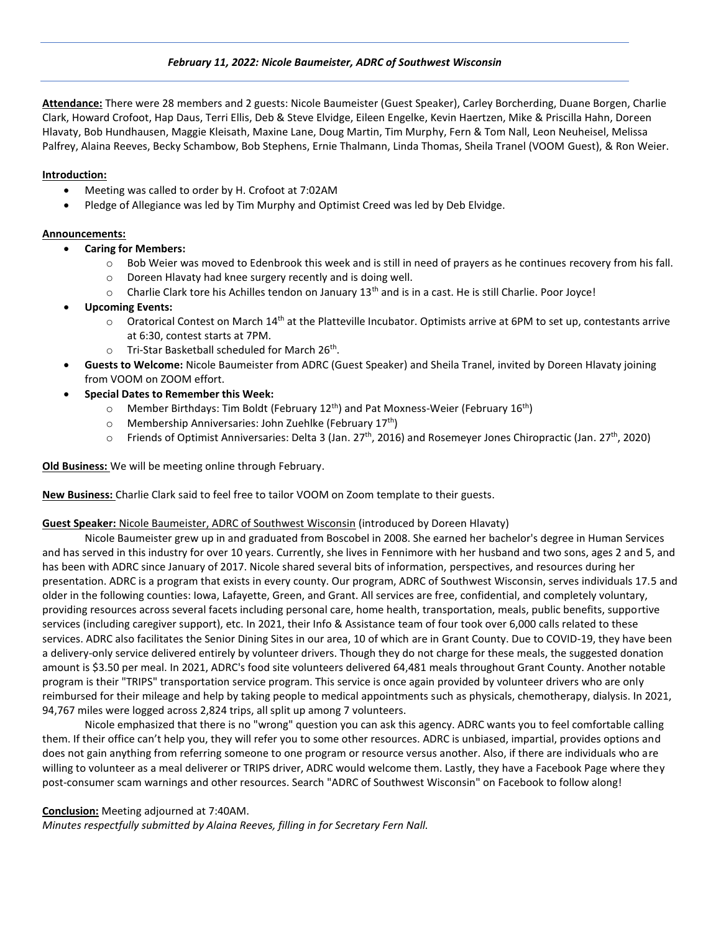### *February 11, 2022: Nicole Baumeister, ADRC of Southwest Wisconsin*

**Attendance:** There were 28 members and 2 guests: Nicole Baumeister (Guest Speaker), Carley Borcherding, Duane Borgen, Charlie Clark, Howard Crofoot, Hap Daus, Terri Ellis, Deb & Steve Elvidge, Eileen Engelke, Kevin Haertzen, Mike & Priscilla Hahn, Doreen Hlavaty, Bob Hundhausen, Maggie Kleisath, Maxine Lane, Doug Martin, Tim Murphy, Fern & Tom Nall, Leon Neuheisel, Melissa Palfrey, Alaina Reeves, Becky Schambow, Bob Stephens, Ernie Thalmann, Linda Thomas, Sheila Tranel (VOOM Guest), & Ron Weier.

#### **Introduction:**

- Meeting was called to order by H. Crofoot at 7:02AM
- Pledge of Allegiance was led by Tim Murphy and Optimist Creed was led by Deb Elvidge.

#### **Announcements:**

- **Caring for Members:** 
	- $\circ$  Bob Weier was moved to Edenbrook this week and is still in need of prayers as he continues recovery from his fall.
	- o Doreen Hlavaty had knee surgery recently and is doing well.
	- o Charlie Clark tore his Achilles tendon on January 13<sup>th</sup> and is in a cast. He is still Charlie. Poor Joyce!
- **Upcoming Events:** 
	- $\circ$  Oratorical Contest on March 14<sup>th</sup> at the Platteville Incubator. Optimists arrive at 6PM to set up, contestants arrive at 6:30, contest starts at 7PM.
	- $\circ$  Tri-Star Basketball scheduled for March 26<sup>th</sup>.
- **Guests to Welcome:** Nicole Baumeister from ADRC (Guest Speaker) and Sheila Tranel, invited by Doreen Hlavaty joining from VOOM on ZOOM effort.
- **Special Dates to Remember this Week:** 
	- $\circ$  Member Birthdays: Tim Boldt (February 12<sup>th</sup>) and Pat Moxness-Weier (February 16<sup>th</sup>)
	- $\circ$  Membership Anniversaries: John Zuehlke (February 17<sup>th</sup>)
	- $\circ$  Friends of Optimist Anniversaries: Delta 3 (Jan. 27<sup>th</sup>, 2016) and Rosemeyer Jones Chiropractic (Jan. 27<sup>th</sup>, 2020)

**Old Business:** We will be meeting online through February.

**New Business:** Charlie Clark said to feel free to tailor VOOM on Zoom template to their guests.

#### **Guest Speaker:** Nicole Baumeister, ADRC of Southwest Wisconsin (introduced by Doreen Hlavaty)

Nicole Baumeister grew up in and graduated from Boscobel in 2008. She earned her bachelor's degree in Human Services and has served in this industry for over 10 years. Currently, she lives in Fennimore with her husband and two sons, ages 2 and 5, and has been with ADRC since January of 2017. Nicole shared several bits of information, perspectives, and resources during her presentation. ADRC is a program that exists in every county. Our program, ADRC of Southwest Wisconsin, serves individuals 17.5 and older in the following counties: Iowa, Lafayette, Green, and Grant. All services are free, confidential, and completely voluntary, providing resources across several facets including personal care, home health, transportation, meals, public benefits, supportive services (including caregiver support), etc. In 2021, their Info & Assistance team of four took over 6,000 calls related to these services. ADRC also facilitates the Senior Dining Sites in our area, 10 of which are in Grant County. Due to COVID-19, they have been a delivery-only service delivered entirely by volunteer drivers. Though they do not charge for these meals, the suggested donation amount is \$3.50 per meal. In 2021, ADRC's food site volunteers delivered 64,481 meals throughout Grant County. Another notable program is their "TRIPS" transportation service program. This service is once again provided by volunteer drivers who are only reimbursed for their mileage and help by taking people to medical appointments such as physicals, chemotherapy, dialysis. In 2021, 94,767 miles were logged across 2,824 trips, all split up among 7 volunteers.

Nicole emphasized that there is no "wrong" question you can ask this agency. ADRC wants you to feel comfortable calling them. If their office can't help you, they will refer you to some other resources. ADRC is unbiased, impartial, provides options and does not gain anything from referring someone to one program or resource versus another. Also, if there are individuals who are willing to volunteer as a meal deliverer or TRIPS driver, ADRC would welcome them. Lastly, they have a Facebook Page where they post-consumer scam warnings and other resources. Search "ADRC of Southwest Wisconsin" on Facebook to follow along!

#### **Conclusion:** Meeting adjourned at 7:40AM.

*Minutes respectfully submitted by Alaina Reeves, filling in for Secretary Fern Nall.*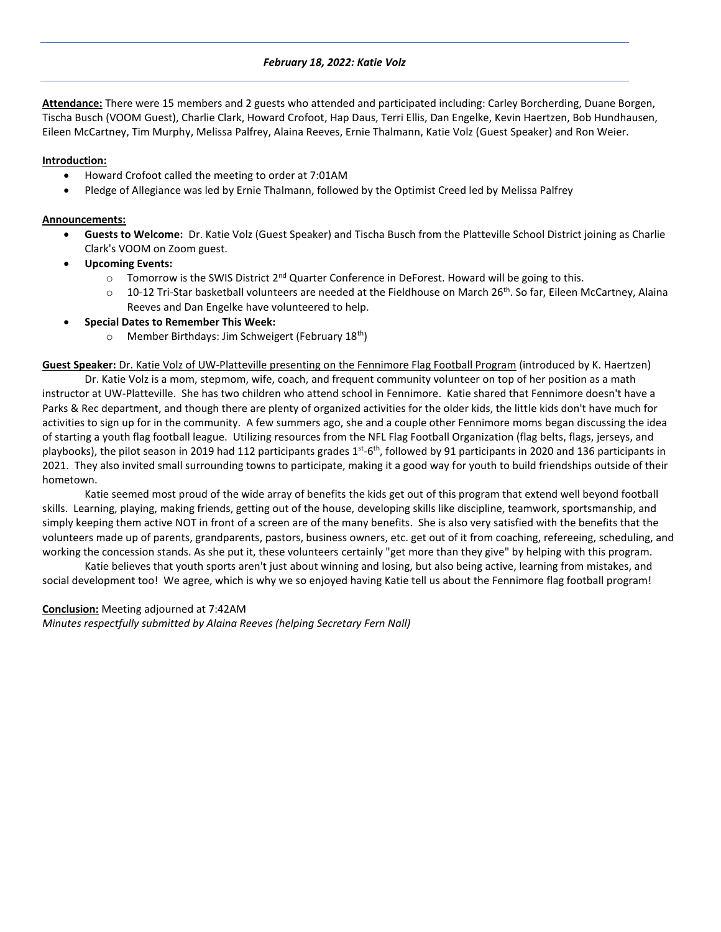### *February 18, 2022: Katie Volz*

**Attendance:** There were 15 members and 2 guests who attended and participated including: Carley Borcherding, Duane Borgen, Tischa Busch (VOOM Guest), Charlie Clark, Howard Crofoot, Hap Daus, Terri Ellis, Dan Engelke, Kevin Haertzen, Bob Hundhausen, Eileen McCartney, Tim Murphy, Melissa Palfrey, Alaina Reeves, Ernie Thalmann, Katie Volz (Guest Speaker) and Ron Weier.

### **Introduction:**

- Howard Crofoot called the meeting to order at 7:01AM
- Pledge of Allegiance was led by Ernie Thalmann, followed by the Optimist Creed led by Melissa Palfrey

#### **Announcements:**

- **Guests to Welcome:** Dr. Katie Volz (Guest Speaker) and Tischa Busch from the Platteville School District joining as Charlie Clark's VOOM on Zoom guest.
- **Upcoming Events:** 
	- $\circ$  Tomorrow is the SWIS District 2<sup>nd</sup> Quarter Conference in DeForest. Howard will be going to this.
	- $\circ$  10-12 Tri-Star basketball volunteers are needed at the Fieldhouse on March 26<sup>th</sup>. So far, Eileen McCartney, Alaina Reeves and Dan Engelke have volunteered to help.
- **Special Dates to Remember This Week:** 
	- $\circ$  Member Birthdays: Jim Schweigert (February 18<sup>th</sup>)

**Guest Speaker:** Dr. Katie Volz of UW-Platteville presenting on the Fennimore Flag Football Program (introduced by K. Haertzen)

Dr. Katie Volz is a mom, stepmom, wife, coach, and frequent community volunteer on top of her position as a math instructor at UW-Platteville. She has two children who attend school in Fennimore. Katie shared that Fennimore doesn't have a Parks & Rec department, and though there are plenty of organized activities for the older kids, the little kids don't have much for activities to sign up for in the community. A few summers ago, she and a couple other Fennimore moms began discussing the idea of starting a youth flag football league. Utilizing resources from the NFL Flag Football Organization (flag belts, flags, jerseys, and playbooks), the pilot season in 2019 had 112 participants grades 1<sup>st</sup>-6<sup>th</sup>, followed by 91 participants in 2020 and 136 participants in 2021. They also invited small surrounding towns to participate, making it a good way for youth to build friendships outside of their hometown.

Katie seemed most proud of the wide array of benefits the kids get out of this program that extend well beyond football skills. Learning, playing, making friends, getting out of the house, developing skills like discipline, teamwork, sportsmanship, and simply keeping them active NOT in front of a screen are of the many benefits. She is also very satisfied with the benefits that the volunteers made up of parents, grandparents, pastors, business owners, etc. get out of it from coaching, refereeing, scheduling, and working the concession stands. As she put it, these volunteers certainly "get more than they give" by helping with this program.

Katie believes that youth sports aren't just about winning and losing, but also being active, learning from mistakes, and social development too! We agree, which is why we so enjoyed having Katie tell us about the Fennimore flag football program!

#### **Conclusion:** Meeting adjourned at 7:42AM

*Minutes respectfully submitted by Alaina Reeves (helping Secretary Fern Nall)*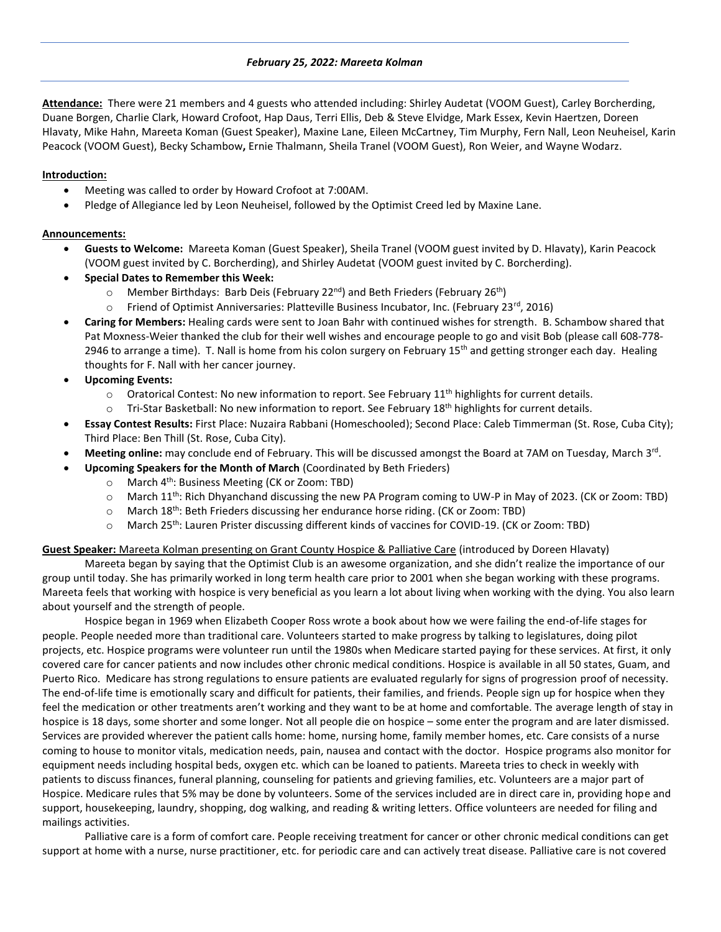#### *February 25, 2022: Mareeta Kolman*

**Attendance:** There were 21 members and 4 guests who attended including: Shirley Audetat (VOOM Guest), Carley Borcherding, Duane Borgen, Charlie Clark, Howard Crofoot, Hap Daus, Terri Ellis, Deb & Steve Elvidge, Mark Essex, Kevin Haertzen, Doreen Hlavaty, Mike Hahn, Mareeta Koman (Guest Speaker), Maxine Lane, Eileen McCartney, Tim Murphy, Fern Nall, Leon Neuheisel, Karin Peacock (VOOM Guest), Becky Schambow**,** Ernie Thalmann, Sheila Tranel (VOOM Guest), Ron Weier, and Wayne Wodarz.

### **Introduction:**

- Meeting was called to order by Howard Crofoot at 7:00AM.
- Pledge of Allegiance led by Leon Neuheisel, followed by the Optimist Creed led by Maxine Lane.

## **Announcements:**

- **Guests to Welcome:** Mareeta Koman (Guest Speaker), Sheila Tranel (VOOM guest invited by D. Hlavaty), Karin Peacock (VOOM guest invited by C. Borcherding), and Shirley Audetat (VOOM guest invited by C. Borcherding).
- **Special Dates to Remember this Week:** 
	- $\circ$  Member Birthdays: Barb Deis (February 22<sup>nd</sup>) and Beth Frieders (February 26<sup>th</sup>)
	- $\circ$  Friend of Optimist Anniversaries: Platteville Business Incubator, Inc. (February 23<sup>rd</sup>, 2016)
- **Caring for Members:** Healing cards were sent to Joan Bahr with continued wishes for strength. B. Schambow shared that Pat Moxness-Weier thanked the club for their well wishes and encourage people to go and visit Bob (please call 608-778- 2946 to arrange a time). T. Nall is home from his colon surgery on February  $15<sup>th</sup>$  and getting stronger each day. Healing thoughts for F. Nall with her cancer journey.
- **Upcoming Events:**
	- $\circ$  Oratorical Contest: No new information to report. See February 11<sup>th</sup> highlights for current details.
	- $\circ$  Tri-Star Basketball: No new information to report. See February 18<sup>th</sup> highlights for current details.
- **Essay Contest Results:** First Place: Nuzaira Rabbani (Homeschooled); Second Place: Caleb Timmerman (St. Rose, Cuba City); Third Place: Ben Thill (St. Rose, Cuba City).
- **Meeting online:** may conclude end of February. This will be discussed amongst the Board at 7AM on Tuesday, March 3<sup>rd</sup>.
- **Upcoming Speakers for the Month of March** (Coordinated by Beth Frieders)
	- o March 4th: Business Meeting (CK or Zoom: TBD)
	- $\circ$  March 11<sup>th</sup>: Rich Dhyanchand discussing the new PA Program coming to UW-P in May of 2023. (CK or Zoom: TBD)
	- o March 18th: Beth Frieders discussing her endurance horse riding. (CK or Zoom: TBD)
	- o March 25th: Lauren Prister discussing different kinds of vaccines for COVID-19. (CK or Zoom: TBD)

## **Guest Speaker:** Mareeta Kolman presenting on Grant County Hospice & Palliative Care (introduced by Doreen Hlavaty)

Mareeta began by saying that the Optimist Club is an awesome organization, and she didn't realize the importance of our group until today. She has primarily worked in long term health care prior to 2001 when she began working with these programs. Mareeta feels that working with hospice is very beneficial as you learn a lot about living when working with the dying. You also learn about yourself and the strength of people.

Hospice began in 1969 when Elizabeth Cooper Ross wrote a book about how we were failing the end-of-life stages for people. People needed more than traditional care. Volunteers started to make progress by talking to legislatures, doing pilot projects, etc. Hospice programs were volunteer run until the 1980s when Medicare started paying for these services. At first, it only covered care for cancer patients and now includes other chronic medical conditions. Hospice is available in all 50 states, Guam, and Puerto Rico. Medicare has strong regulations to ensure patients are evaluated regularly for signs of progression proof of necessity. The end-of-life time is emotionally scary and difficult for patients, their families, and friends. People sign up for hospice when they feel the medication or other treatments aren't working and they want to be at home and comfortable. The average length of stay in hospice is 18 days, some shorter and some longer. Not all people die on hospice – some enter the program and are later dismissed. Services are provided wherever the patient calls home: home, nursing home, family member homes, etc. Care consists of a nurse coming to house to monitor vitals, medication needs, pain, nausea and contact with the doctor. Hospice programs also monitor for equipment needs including hospital beds, oxygen etc. which can be loaned to patients. Mareeta tries to check in weekly with patients to discuss finances, funeral planning, counseling for patients and grieving families, etc. Volunteers are a major part of Hospice. Medicare rules that 5% may be done by volunteers. Some of the services included are in direct care in, providing hope and support, housekeeping, laundry, shopping, dog walking, and reading & writing letters. Office volunteers are needed for filing and mailings activities.

Palliative care is a form of comfort care. People receiving treatment for cancer or other chronic medical conditions can get support at home with a nurse, nurse practitioner, etc. for periodic care and can actively treat disease. Palliative care is not covered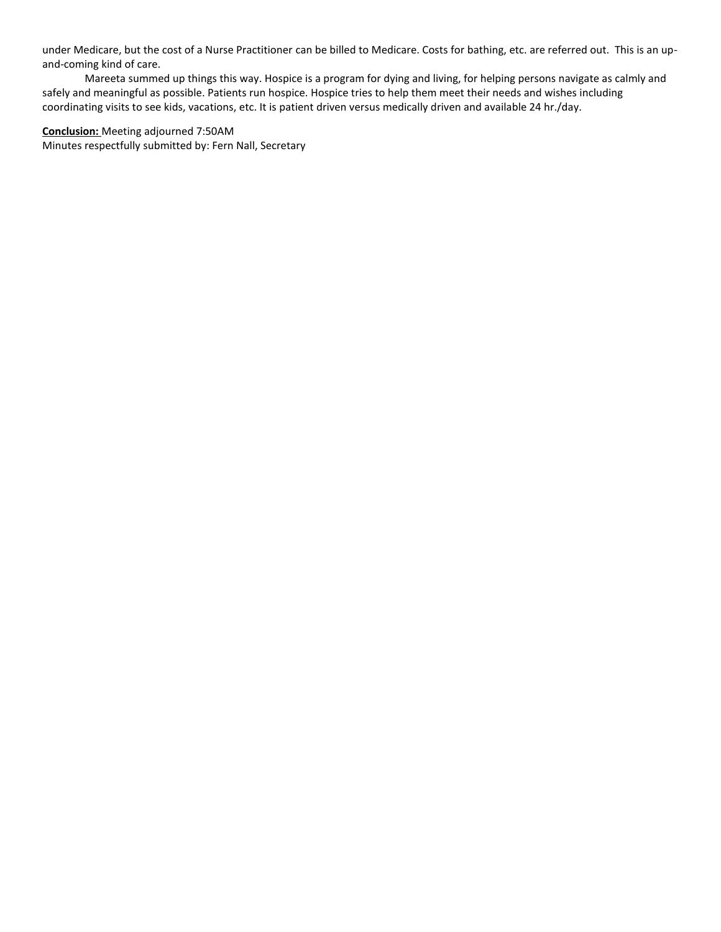under Medicare, but the cost of a Nurse Practitioner can be billed to Medicare. Costs for bathing, etc. are referred out. This is an upand-coming kind of care.

Mareeta summed up things this way. Hospice is a program for dying and living, for helping persons navigate as calmly and safely and meaningful as possible. Patients run hospice. Hospice tries to help them meet their needs and wishes including coordinating visits to see kids, vacations, etc. It is patient driven versus medically driven and available 24 hr./day.

**Conclusion:** Meeting adjourned 7:50AM Minutes respectfully submitted by: Fern Nall, Secretary